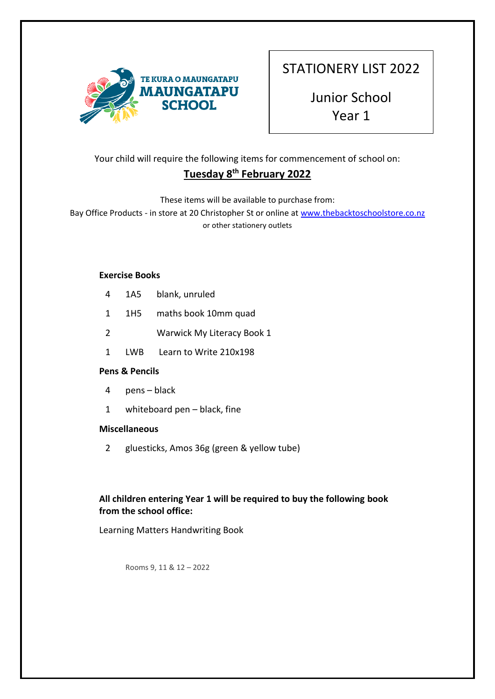

Junior School Year 1

# Your child will require the following items for commencement of school on: **Tuesday 8th February 2022**

These items will be available to purchase from:

Bay Office Products - in store at 20 Christopher St or online a[t www.thebacktoschoolstore.co.nz](http://www.thebacktoschoolstore.co.nz/) or other stationery outlets

### **Exercise Books**

| 4              | 1A5 | blank, unruled             |
|----------------|-----|----------------------------|
| 1              | 1H5 | maths book 10mm quad       |
| $\overline{2}$ |     | Warwick My Literacy Book 1 |
|                |     |                            |

1 LWB Learn to Write 210x198

## **Pens & Pencils**

- 4 pens black
- 1 whiteboard pen black, fine

#### **Miscellaneous**

2 gluesticks, Amos 36g (green & yellow tube)

# **All children entering Year 1 will be required to buy the following book from the school office:**

Learning Matters Handwriting Book

Rooms 9, 11 & 12 – 2022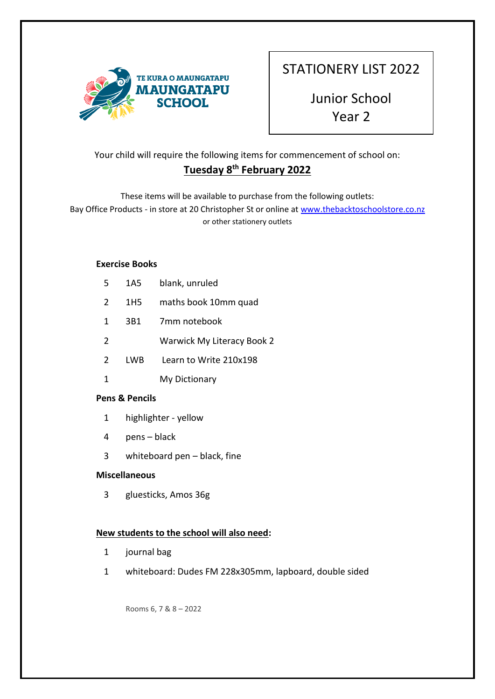

Junior School Year 2

# Your child will require the following items for commencement of school on: **Tuesday 8th February 2022**

These items will be available to purchase from the following outlets: Bay Office Products - in store at 20 Christopher St or online a[t www.thebacktoschoolstore.co.nz](http://www.thebacktoschoolstore.co.nz/) or other stationery outlets

#### **Exercise Books**

| 5             | 1A5 | blank, unruled             |
|---------------|-----|----------------------------|
| 2             | 1H5 | maths book 10mm quad       |
| $\mathbf{1}$  | 3B1 | 7mm notebook               |
| $\mathcal{L}$ |     | Warwick My Literacy Book 2 |
| $\mathcal{L}$ | LWB | Learn to Write 210x198     |
| 1             |     | My Dictionary              |
|               |     |                            |

#### **Pens & Pencils**

- 1 highlighter yellow
- 4 pens black
- 3 whiteboard pen black, fine

#### **Miscellaneous**

3 gluesticks, Amos 36g

#### **New students to the school will also need:**

- 1 journal bag
- 1 whiteboard: Dudes FM 228x305mm, lapboard, double sided

Rooms 6, 7 & 8 – 2022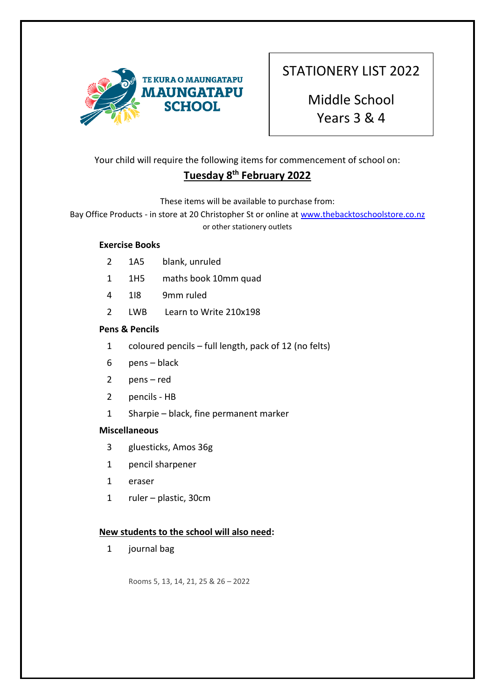

Middle School Years 3 & 4

Your child will require the following items for commencement of school on:

# **Tuesday 8th February 2022**

These items will be available to purchase from:

Bay Office Products - in store at 20 Christopher St or online a[t www.thebacktoschoolstore.co.nz](http://www.thebacktoschoolstore.co.nz/) or other stationery outlets

### **Exercise Books**

- 2 1A5 blank, unruled
- 1 1H5 maths book 10mm quad
- 4 1I8 9mm ruled
- 2 LWB Learn to Write 210x198

#### **Pens & Pencils**

- 1 coloured pencils full length, pack of 12 (no felts)
- 6 pens black
- 2 pens red
- 2 pencils HB
- 1 Sharpie black, fine permanent marker

#### **Miscellaneous**

- 3 gluesticks, Amos 36g
- 1 pencil sharpener
- 1 eraser
- 1 ruler plastic, 30cm

#### **New students to the school will also need:**

1 journal bag

Rooms 5, 13, 14, 21, 25 & 26 – 2022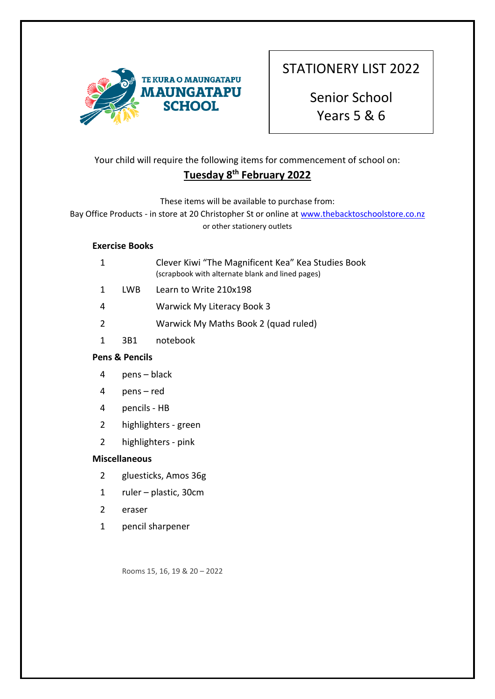

Senior School Years 5 & 6

# Your child will require the following items for commencement of school on:

# **Tuesday 8th February 2022**

These items will be available to purchase from:

Bay Office Products - in store at 20 Christopher St or online a[t www.thebacktoschoolstore.co.nz](http://www.thebacktoschoolstore.co.nz/) or other stationery outlets

### **Exercise Books**

|               |     | Clever Kiwi "The Magnificent Kea" Kea Studies Book<br>(scrapbook with alternate blank and lined pages) |
|---------------|-----|--------------------------------------------------------------------------------------------------------|
|               | LWB | Learn to Write 210x198                                                                                 |
| 4             |     | Warwick My Literacy Book 3                                                                             |
| $\mathcal{P}$ |     | Warwick My Maths Book 2 (quad ruled)                                                                   |
|               | 3B1 | notebook                                                                                               |
|               |     |                                                                                                        |

## **Pens & Pencils**

- 4 pens black
- 4 pens red
- 4 pencils HB
- 2 highlighters green
- 2 highlighters pink

## **Miscellaneous**

- 2 gluesticks, Amos 36g
- 1 ruler plastic, 30cm
- 2 eraser
- 1 pencil sharpener

Rooms 15, 16, 19 & 20 – 2022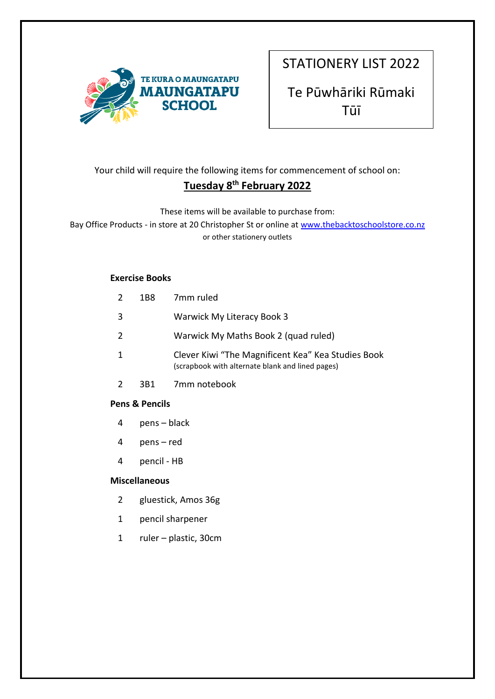

Te Pūwhāriki Rūmaki Tūī

# Your child will require the following items for commencement of school on: **Tuesday 8th February 2022**

These items will be available to purchase from:

Bay Office Products - in store at 20 Christopher St or online a[t www.thebacktoschoolstore.co.nz](http://www.thebacktoschoolstore.co.nz/) or other stationery outlets

#### **Exercise Books**

| <b>Pens &amp; Pencils</b> |      |                                                                                                        |
|---------------------------|------|--------------------------------------------------------------------------------------------------------|
| 2                         | 3B1  | 7mm notebook                                                                                           |
| 1                         |      | Clever Kiwi "The Magnificent Kea" Kea Studies Book<br>(scrapbook with alternate blank and lined pages) |
| 2                         |      | Warwick My Maths Book 2 (quad ruled)                                                                   |
| 3                         |      | Warwick My Literacy Book 3                                                                             |
| 2                         | 1B8. | 7mm ruled                                                                                              |

- 4 pens black
- 4 pens red
- 4 pencil HB

- 2 gluestick, Amos 36g
- 1 pencil sharpener
- 1 ruler plastic, 30cm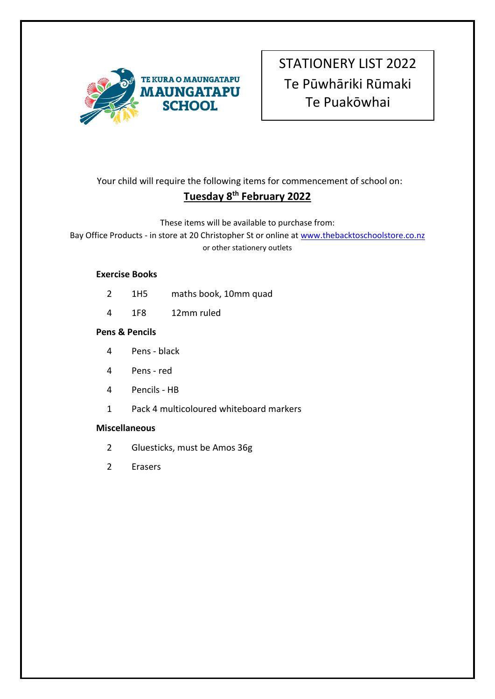

# STATIONERY LIST 2022 Te Pūwhāriki Rūmaki Te Puakōwhai

Your child will require the following items for commencement of school on:

# **Tuesday 8th February 2022**

These items will be available to purchase from:

Bay Office Products - in store at 20 Christopher St or online a[t www.thebacktoschoolstore.co.nz](http://www.thebacktoschoolstore.co.nz/) or other stationery outlets

# **Exercise Books**

- 2 1H5 maths book, 10mm quad
- 4 1F8 12mm ruled

# **Pens & Pencils**

- 4 Pens black
- 4 Pens red
- 4 Pencils HB
- 1 Pack 4 multicoloured whiteboard markers

- 2 Gluesticks, must be Amos 36g
- 2 Erasers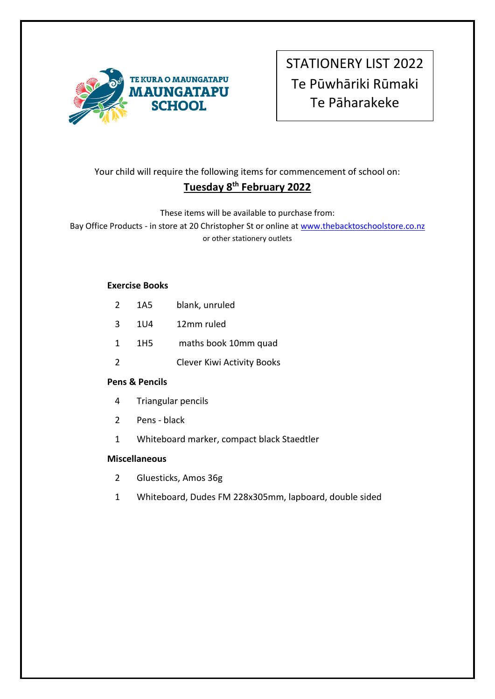

STATIONERY LIST 2022 Te Pūwhāriki Rūmaki Te Pāharakeke

# Your child will require the following items for commencement of school on: **Tuesday 8 th February 2022**

These items will be available to purchase from:

Bay Office Products - in store at 20 Christopher St or online a[t www.thebacktoschoolstore.co.nz](http://www.thebacktoschoolstore.co.nz/) or other stationery outlets

#### **Exercise Books**

| $\mathcal{L}$  | 1A5             | blank, unruled                    |
|----------------|-----------------|-----------------------------------|
| 3              | 1U4             | 12mm ruled                        |
| 1              | 1H <sub>5</sub> | maths book 10mm quad              |
| $\overline{2}$ |                 | <b>Clever Kiwi Activity Books</b> |

## **Pens & Pencils**

- 4 Triangular pencils
- 2 Pens black
- 1 Whiteboard marker, compact black Staedtler

- 2 Gluesticks, Amos 36g
- 1 Whiteboard, Dudes FM 228x305mm, lapboard, double sided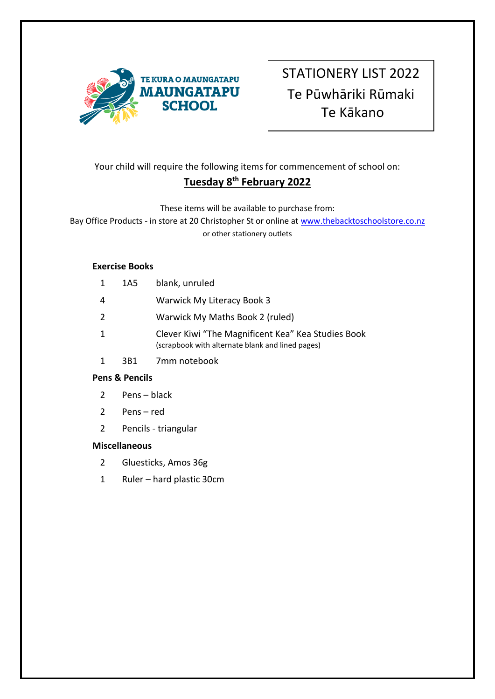

STATIONERY LIST 2022 Te Pūwhāriki Rūmaki Te Kākano

# Your child will require the following items for commencement of school on: **Tuesday 8th February 2022**

# These items will be available to purchase from:

Bay Office Products - in store at 20 Christopher St or online a[t www.thebacktoschoolstore.co.nz](http://www.thebacktoschoolstore.co.nz/) or other stationery outlets

#### **Exercise Books**

|   | 1A5 | blank, unruled                                                                                         |
|---|-----|--------------------------------------------------------------------------------------------------------|
| 4 |     | Warwick My Literacy Book 3                                                                             |
| 2 |     | Warwick My Maths Book 2 (ruled)                                                                        |
|   |     | Clever Kiwi "The Magnificent Kea" Kea Studies Book<br>(scrapbook with alternate blank and lined pages) |
|   |     |                                                                                                        |

1 3B1 7mm notebook

## **Pens & Pencils**

- 2 Pens black
- 2 Pens red
- 2 Pencils triangular

- 2 Gluesticks, Amos 36g
- 1 Ruler hard plastic 30cm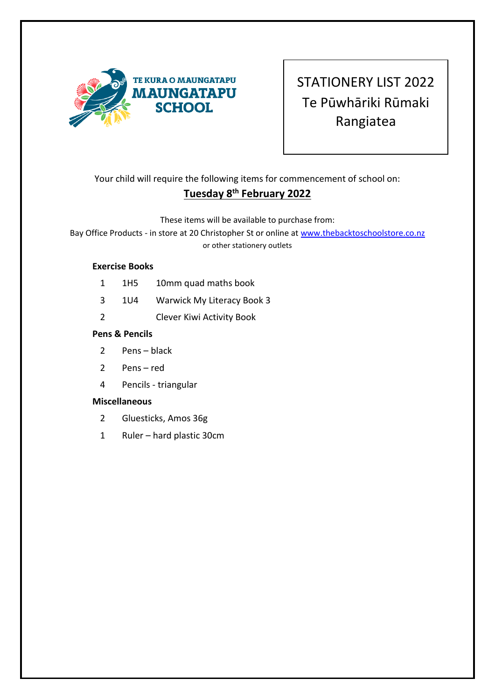

STATIONERY LIST 2022 Te Pūwhāriki Rūmaki Rangiatea

Your child will require the following items for commencement of school on:

# **Tuesday 8th February 2022**

## These items will be available to purchase from:

Bay Office Products - in store at 20 Christopher St or online a[t www.thebacktoschoolstore.co.nz](http://www.thebacktoschoolstore.co.nz/) or other stationery outlets

### **Exercise Books**

- 1 1H5 10mm quad maths book
- 3 1U4 Warwick My Literacy Book 3
- 2 Clever Kiwi Activity Book

## **Pens & Pencils**

- 2 Pens black
- 2 Pens red
- 4 Pencils triangular

- 2 Gluesticks, Amos 36g
- 1 Ruler hard plastic 30cm